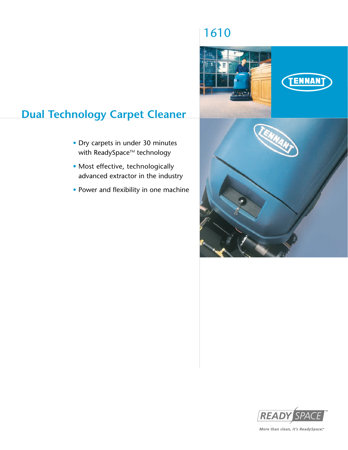# 1610



# **Dual Technology Carpet Cleaner**

- Dry carpets in under 30 minutes with ReadySpace<sup>™</sup> technology
- Most effective, technologically advanced extractor in the industry
- Power and flexibility in one machine



More than clean, it's ReadySpace."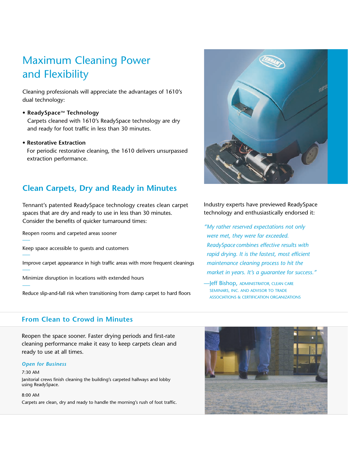# Maximum Cleaning Power and Flexibility

Cleaning professionals will appreciate the advantages of 1610's dual technology:

## **• ReadySpaceTM Technology**

Carpets cleaned with 1610's ReadySpace technology are dry and ready for foot traffic in less than 30 minutes.

## **• Restorative Extraction**

For periodic restorative cleaning, the 1610 delivers unsurpassed extraction performance.

# **Clean Carpets, Dry and Ready in Minutes**

Tennant's patented ReadySpace technology creates clean carpet spaces that are dry and ready to use in less than 30 minutes. Consider the benefits of quicker turnaround times:

Reopen rooms and carpeted areas sooner

Keep space accessible to guests and customers

Improve carpet appearance in high traffic areas with more frequent cleanings

Minimize disruption in locations with extended hours

Reduce slip-and-fall risk when transitioning from damp carpet to hard floors

## **From Clean to Crowd in Minutes**

Reopen the space sooner. Faster drying periods and first-rate cleaning performance make it easy to keep carpets clean and ready to use at all times.

#### *Open for Business*

#### 7:30 AM

–––

–––

–––

–––

Janitorial crews finish cleaning the building's carpeted hallways and lobby using ReadySpace.

#### 8:00 AM

Carpets are clean, dry and ready to handle the morning's rush of foot traffic.



Industry experts have previewed ReadySpace technology and enthusiastically endorsed it:

*"My rather reserved expectations not only were met, they were far exceeded. ReadySpace combines effective results with rapid drying. It is the fastest, most efficient maintenance cleaning process to hit the market in years. It's a guarantee for success."*

—Jeff Bishop, ADMINISTRATOR, CLEAN CARE SEMINARS, INC. AND ADVISOR TO TRADE ASSOCIATIONS & CERTIFICATION ORGANIZATIONS

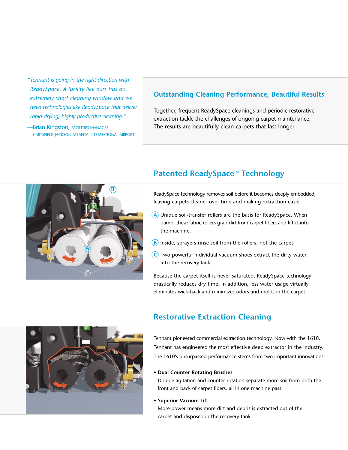- *"Tennant is going in the right direction with ReadySpace. A facility like ours has an extremely short cleaning window and we need technologies like ReadySpace that deliver rapid-drying, highly productive cleaning."*
- **-Brian Kingston, FACILITIES MANAGER** HARTSFIELD-JACKSON ATLANTA INTERNATIONAL AIRPORT

# **Outstanding Cleaning Performance, Beautiful Results**

Together, frequent ReadySpace cleanings and periodic restorative extraction tackle the challenges of ongoing carpet maintenance. The results are beautifully clean carpets that last longer.



# **Patented ReadySpace<sup>™</sup> Technology**

ReadySpace technology removes soil before it becomes deeply embedded, leaving carpets cleaner over time and making extraction easier.

- **A** Unique soil-transfer rollers are the basis for ReadySpace. When damp, these fabric rollers grab dirt from carpet fibers and lift it into the machine.
- $\left(\mathbf{B}\right)$  Inside, sprayers rinse soil from the rollers, not the carpet.
- **C** Two powerful individual vacuum shoes extract the dirty water into the recovery tank.

Because the carpet itself is never saturated, ReadySpace technology drastically reduces dry time. In addition, less water usage virtually eliminates wick-back and minimizes odors and molds in the carpet.



# **Restorative Extraction Cleaning**

Tennant pioneered commercial extraction technology. Now with the 1610, Tennant has engineered the most effective deep extractor in the industry. The 1610's unsurpassed performance stems from two important innovations:

## **• Dual Counter-Rotating Brushes**

Double agitation and counter-rotation separate more soil from both the front and back of carpet fibers, all in one machine pass.

## • **Superior Vacuum Lift**

More power means more dirt and debris is extracted out of the carpet and disposed in the recovery tank.